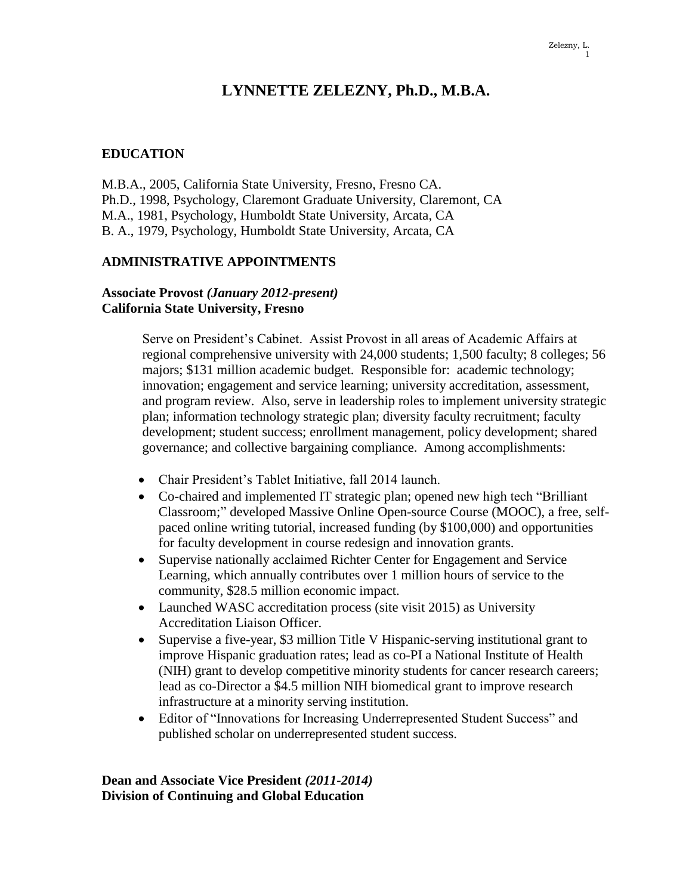#### Zelezny, L. 1

# **LYNNETTE ZELEZNY, Ph.D., M.B.A.**

## **EDUCATION**

M.B.A., 2005, California State University, Fresno, Fresno CA. Ph.D., 1998, Psychology, Claremont Graduate University, Claremont, CA M.A., 1981, Psychology, Humboldt State University, Arcata, CA B. A., 1979, Psychology, Humboldt State University, Arcata, CA

## **ADMINISTRATIVE APPOINTMENTS**

## **Associate Provost** *(January 2012-present)* **California State University, Fresno**

Serve on President's Cabinet. Assist Provost in all areas of Academic Affairs at regional comprehensive university with 24,000 students; 1,500 faculty; 8 colleges; 56 majors; \$131 million academic budget. Responsible for: academic technology; innovation; engagement and service learning; university accreditation, assessment, and program review. Also, serve in leadership roles to implement university strategic plan; information technology strategic plan; diversity faculty recruitment; faculty development; student success; enrollment management, policy development; shared governance; and collective bargaining compliance. Among accomplishments:

- Chair President's Tablet Initiative, fall 2014 launch.
- Co-chaired and implemented IT strategic plan; opened new high tech "Brilliant Classroom;" developed Massive Online Open-source Course (MOOC), a free, selfpaced online writing tutorial, increased funding (by \$100,000) and opportunities for faculty development in course redesign and innovation grants.
- Supervise nationally acclaimed Richter Center for Engagement and Service Learning, which annually contributes over 1 million hours of service to the community, \$28.5 million economic impact.
- Launched WASC accreditation process (site visit 2015) as University Accreditation Liaison Officer.
- Supervise a five-year, \$3 million Title V Hispanic-serving institutional grant to improve Hispanic graduation rates; lead as co-PI a National Institute of Health (NIH) grant to develop competitive minority students for cancer research careers; lead as co-Director a \$4.5 million NIH biomedical grant to improve research infrastructure at a minority serving institution.
- Editor of "Innovations for Increasing Underrepresented Student Success" and published scholar on underrepresented student success.

**Dean and Associate Vice President** *(2011-2014)* **Division of Continuing and Global Education**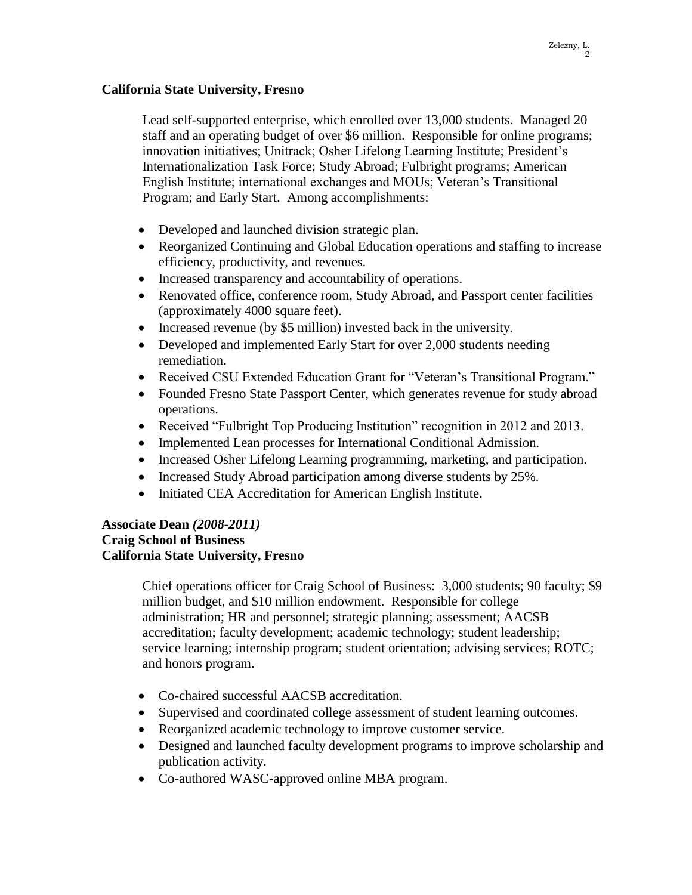## **California State University, Fresno**

Lead self-supported enterprise, which enrolled over 13,000 students. Managed 20 staff and an operating budget of over \$6 million. Responsible for online programs; innovation initiatives; Unitrack; Osher Lifelong Learning Institute; President's Internationalization Task Force; Study Abroad; Fulbright programs; American English Institute; international exchanges and MOUs; Veteran's Transitional Program; and Early Start. Among accomplishments:

- Developed and launched division strategic plan.
- Reorganized Continuing and Global Education operations and staffing to increase efficiency, productivity, and revenues.
- Increased transparency and accountability of operations.
- Renovated office, conference room, Study Abroad, and Passport center facilities (approximately 4000 square feet).
- Increased revenue (by \$5 million) invested back in the university.
- Developed and implemented Early Start for over 2,000 students needing remediation.
- Received CSU Extended Education Grant for "Veteran's Transitional Program."
- Founded Fresno State Passport Center, which generates revenue for study abroad operations.
- Received "Fulbright Top Producing Institution" recognition in 2012 and 2013.
- Implemented Lean processes for International Conditional Admission.
- Increased Osher Lifelong Learning programming, marketing, and participation.
- Increased Study Abroad participation among diverse students by 25%.
- Initiated CEA Accreditation for American English Institute.

## **Associate Dean** *(2008-2011)* **Craig School of Business California State University, Fresno**

Chief operations officer for Craig School of Business: 3,000 students; 90 faculty; \$9 million budget, and \$10 million endowment. Responsible for college administration; HR and personnel; strategic planning; assessment; AACSB accreditation; faculty development; academic technology; student leadership; service learning; internship program; student orientation; advising services; ROTC; and honors program.

- Co-chaired successful AACSB accreditation.
- Supervised and coordinated college assessment of student learning outcomes.
- Reorganized academic technology to improve customer service.
- Designed and launched faculty development programs to improve scholarship and publication activity.
- Co-authored WASC-approved online MBA program.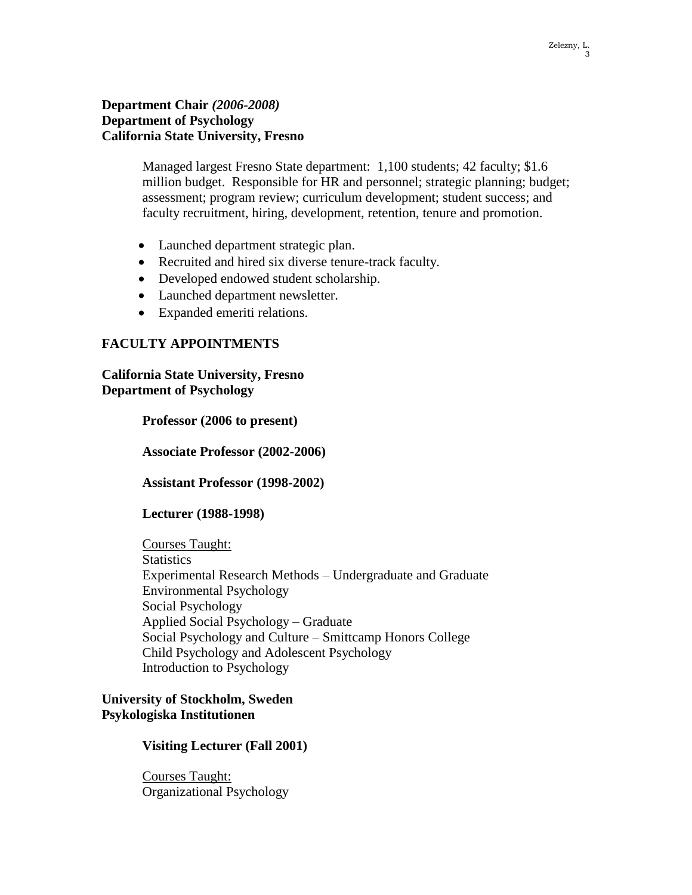#### **Department Chair** *(2006-2008)* **Department of Psychology California State University, Fresno**

Managed largest Fresno State department: 1,100 students; 42 faculty; \$1.6 million budget. Responsible for HR and personnel; strategic planning; budget; assessment; program review; curriculum development; student success; and faculty recruitment, hiring, development, retention, tenure and promotion.

- Launched department strategic plan.
- Recruited and hired six diverse tenure-track faculty.
- Developed endowed student scholarship.
- Launched department newsletter.
- Expanded emeriti relations.

## **FACULTY APPOINTMENTS**

**California State University, Fresno Department of Psychology**

**Professor (2006 to present)**

**Associate Professor (2002-2006)**

**Assistant Professor (1998-2002)**

#### **Lecturer (1988-1998)**

Courses Taught: **Statistics** Experimental Research Methods – Undergraduate and Graduate Environmental Psychology Social Psychology Applied Social Psychology – Graduate Social Psychology and Culture – Smittcamp Honors College Child Psychology and Adolescent Psychology Introduction to Psychology

#### **University of Stockholm, Sweden Psykologiska Institutionen**

#### **Visiting Lecturer (Fall 2001)**

Courses Taught: Organizational Psychology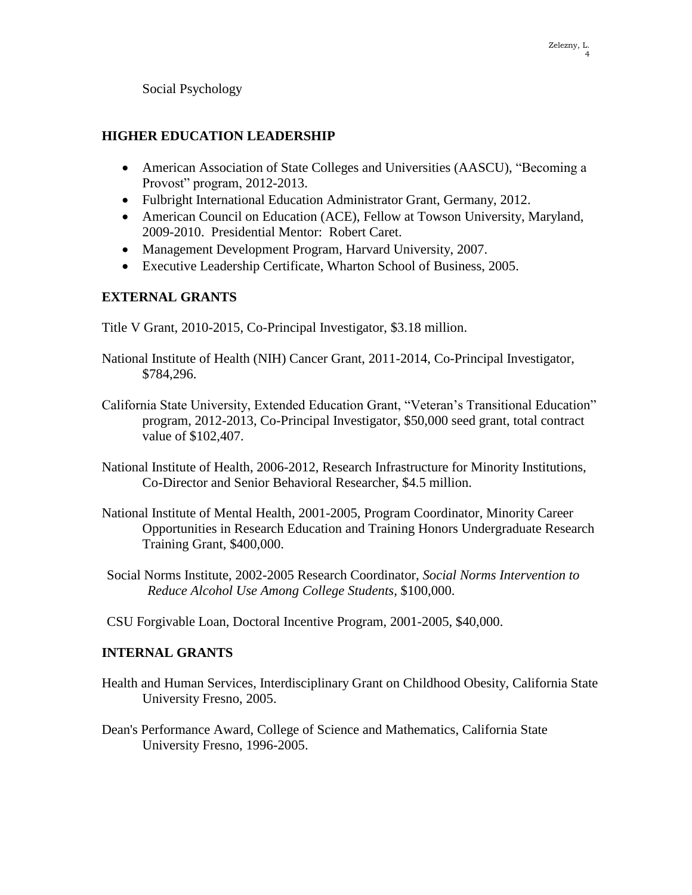Social Psychology

## **HIGHER EDUCATION LEADERSHIP**

- American Association of State Colleges and Universities (AASCU), "Becoming a Provost" program, 2012-2013.
- Fulbright International Education Administrator Grant, Germany, 2012.
- American Council on Education (ACE), Fellow at Towson University, Maryland, 2009-2010. Presidential Mentor: Robert Caret.
- Management Development Program, Harvard University, 2007.
- Executive Leadership Certificate, Wharton School of Business, 2005.

## **EXTERNAL GRANTS**

Title V Grant, 2010-2015, Co-Principal Investigator, \$3.18 million.

- National Institute of Health (NIH) Cancer Grant, 2011-2014, Co-Principal Investigator, \$784,296.
- California State University, Extended Education Grant, "Veteran's Transitional Education" program, 2012-2013, Co-Principal Investigator, \$50,000 seed grant, total contract value of \$102,407.
- National Institute of Health, 2006-2012, Research Infrastructure for Minority Institutions, Co-Director and Senior Behavioral Researcher, \$4.5 million.
- National Institute of Mental Health, 2001-2005, Program Coordinator, Minority Career Opportunities in Research Education and Training Honors Undergraduate Research Training Grant, \$400,000.
- Social Norms Institute, 2002-2005 Research Coordinator, *Social Norms Intervention to Reduce Alcohol Use Among College Students,* \$100,000.
- CSU Forgivable Loan, Doctoral Incentive Program, 2001-2005, \$40,000.

## **INTERNAL GRANTS**

- Health and Human Services, Interdisciplinary Grant on Childhood Obesity, California State University Fresno, 2005.
- Dean's Performance Award, College of Science and Mathematics, California State University Fresno, 1996-2005.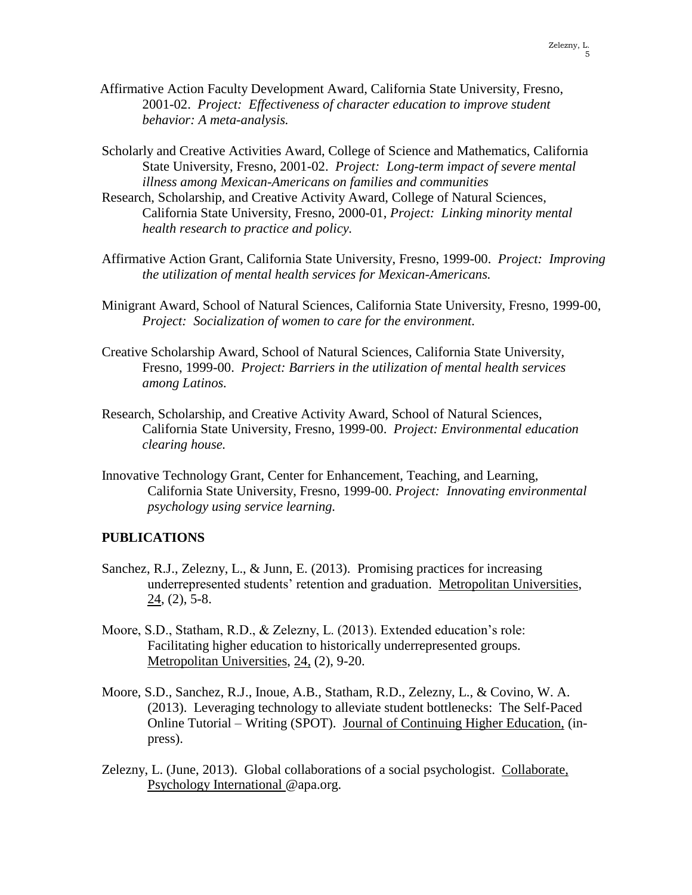- Affirmative Action Faculty Development Award, California State University, Fresno, 2001-02. *Project: Effectiveness of character education to improve student behavior: A meta-analysis.*
- Scholarly and Creative Activities Award, College of Science and Mathematics, California State University, Fresno, 2001-02. *Project: Long-term impact of severe mental illness among Mexican-Americans on families and communities*
- Research, Scholarship, and Creative Activity Award, College of Natural Sciences, California State University, Fresno, 2000-01, *Project: Linking minority mental health research to practice and policy.*
- Affirmative Action Grant, California State University, Fresno, 1999-00. *Project: Improving the utilization of mental health services for Mexican-Americans.*
- Minigrant Award, School of Natural Sciences, California State University, Fresno, 1999-00, *Project: Socialization of women to care for the environment.*
- Creative Scholarship Award, School of Natural Sciences, California State University, Fresno, 1999-00. *Project: Barriers in the utilization of mental health services among Latinos.*
- Research, Scholarship, and Creative Activity Award, School of Natural Sciences, California State University, Fresno, 1999-00. *Project: Environmental education clearing house.*
- Innovative Technology Grant, Center for Enhancement, Teaching, and Learning, California State University, Fresno, 1999-00. *Project: Innovating environmental psychology using service learning.*

#### **PUBLICATIONS**

- Sanchez, R.J., Zelezny, L., & Junn, E. (2013). Promising practices for increasing underrepresented students' retention and graduation. Metropolitan Universities, 24, (2), 5-8.
- Moore, S.D., Statham, R.D., & Zelezny, L. (2013). Extended education's role: Facilitating higher education to historically underrepresented groups. Metropolitan Universities, 24, (2), 9-20.
- Moore, S.D., Sanchez, R.J., Inoue, A.B., Statham, R.D., Zelezny, L., & Covino, W. A. (2013). Leveraging technology to alleviate student bottlenecks: The Self-Paced Online Tutorial – Writing (SPOT). Journal of Continuing Higher Education, (inpress).
- Zelezny, L. (June, 2013). Global collaborations of a social psychologist. Collaborate, Psychology International @apa.org.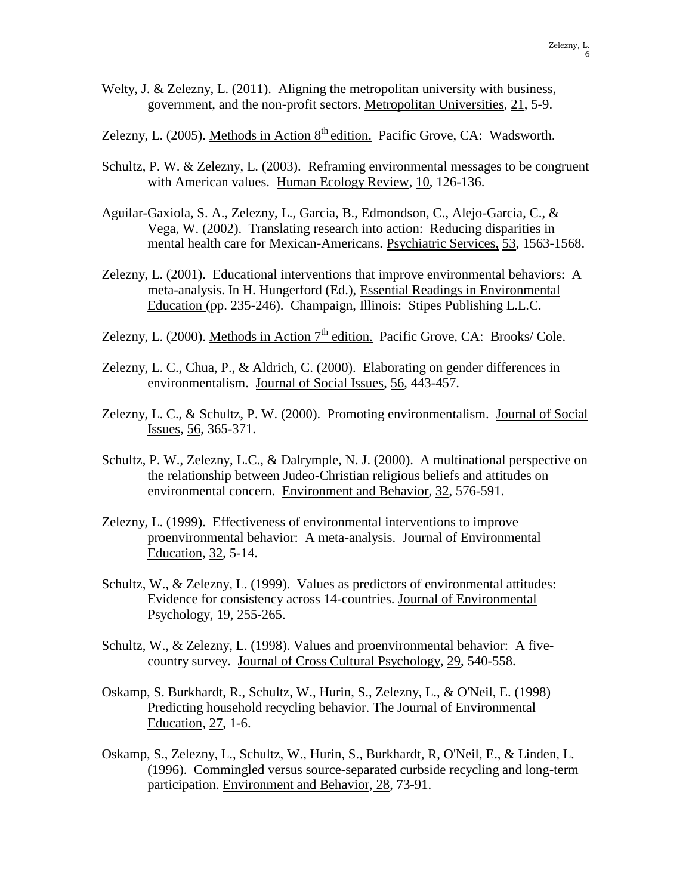- Welty, J. & Zelezny, L. (2011). Aligning the metropolitan university with business, government, and the non-profit sectors. Metropolitan Universities, 21, 5-9.
- Zelezny, L. (2005). Methods in Action  $8<sup>th</sup>$  edition. Pacific Grove, CA: Wadsworth.
- Schultz, P. W. & Zelezny, L. (2003). Reframing environmental messages to be congruent with American values. Human Ecology Review, 10, 126-136.
- Aguilar-Gaxiola, S. A., Zelezny, L., Garcia, B., Edmondson, C., Alejo-Garcia, C., & Vega, W. (2002). Translating research into action: Reducing disparities in mental health care for Mexican-Americans. Psychiatric Services, 53, 1563-1568.
- Zelezny, L. (2001). Educational interventions that improve environmental behaviors: A meta-analysis. In H. Hungerford (Ed.), Essential Readings in Environmental Education (pp. 235-246). Champaign, Illinois: Stipes Publishing L.L.C.
- Zelezny, L. (2000). Methods in Action  $7<sup>th</sup>$  edition. Pacific Grove, CA: Brooks/ Cole.
- Zelezny, L. C., Chua, P., & Aldrich, C. (2000). Elaborating on gender differences in environmentalism. Journal of Social Issues, 56, 443-457.
- Zelezny, L. C., & Schultz, P. W. (2000). Promoting environmentalism. Journal of Social Issues, 56, 365-371.
- Schultz, P. W., Zelezny, L.C., & Dalrymple, N. J. (2000). A multinational perspective on the relationship between Judeo-Christian religious beliefs and attitudes on environmental concern. Environment and Behavior, 32, 576-591.
- Zelezny, L. (1999). Effectiveness of environmental interventions to improve proenvironmental behavior: A meta-analysis. Journal of Environmental Education, 32, 5-14.
- Schultz, W., & Zelezny, L. (1999). Values as predictors of environmental attitudes: Evidence for consistency across 14-countries. Journal of Environmental Psychology, 19, 255-265.
- Schultz, W., & Zelezny, L. (1998). Values and proenvironmental behavior: A fivecountry survey. Journal of Cross Cultural Psychology, 29, 540-558.
- Oskamp, S. Burkhardt, R., Schultz, W., Hurin, S., Zelezny, L., & O'Neil, E. (1998) Predicting household recycling behavior. The Journal of Environmental Education, 27, 1-6.
- Oskamp, S., Zelezny, L., Schultz, W., Hurin, S., Burkhardt, R, O'Neil, E., & Linden, L. (1996). Commingled versus source-separated curbside recycling and long-term participation. Environment and Behavior, 28, 73-91.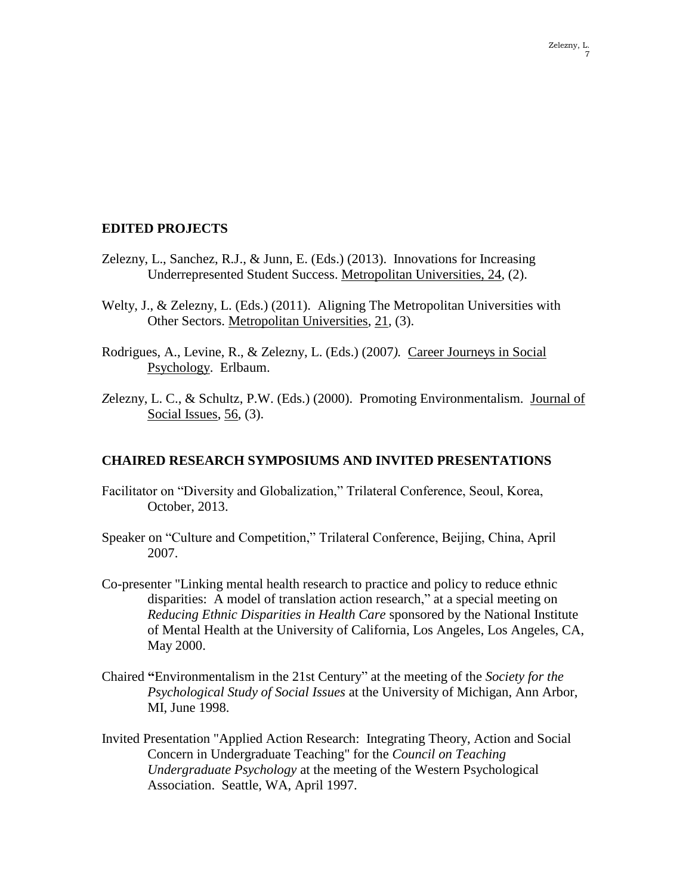#### **EDITED PROJECTS**

- Zelezny, L., Sanchez, R.J., & Junn, E. (Eds.) (2013). Innovations for Increasing Underrepresented Student Success. Metropolitan Universities, 24, (2).
- Welty, J., & Zelezny, L. (Eds.) (2011). Aligning The Metropolitan Universities with Other Sectors. Metropolitan Universities, 21, (3).
- Rodrigues, A., Levine, R., & Zelezny, L. (Eds.) (2007*).* Career Journeys in Social Psychology. Erlbaum.
- *Z*elezny, L. C., & Schultz, P.W. (Eds.) (2000). Promoting Environmentalism. Journal of Social Issues, 56, (3).

#### **CHAIRED RESEARCH SYMPOSIUMS AND INVITED PRESENTATIONS**

- Facilitator on "Diversity and Globalization," Trilateral Conference, Seoul, Korea, October, 2013.
- Speaker on "Culture and Competition," Trilateral Conference, Beijing, China, April 2007.
- Co-presenter "Linking mental health research to practice and policy to reduce ethnic disparities: A model of translation action research," at a special meeting on *Reducing Ethnic Disparities in Health Care* sponsored by the National Institute of Mental Health at the University of California, Los Angeles, Los Angeles, CA, May 2000.
- Chaired **"**Environmentalism in the 21st Century" at the meeting of the *Society for the Psychological Study of Social Issues* at the University of Michigan, Ann Arbor, MI, June 1998.
- Invited Presentation "Applied Action Research: Integrating Theory, Action and Social Concern in Undergraduate Teaching" for the *Council on Teaching Undergraduate Psychology* at the meeting of the Western Psychological Association. Seattle, WA, April 1997.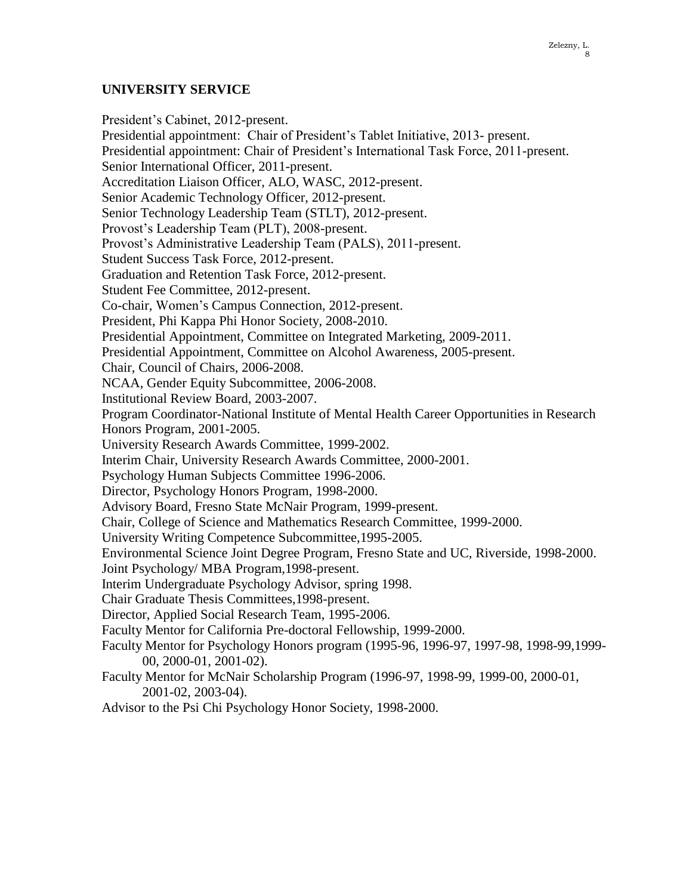## **UNIVERSITY SERVICE**

President's Cabinet, 2012-present. Presidential appointment: Chair of President's Tablet Initiative, 2013- present. Presidential appointment: Chair of President's International Task Force, 2011-present. Senior International Officer, 2011-present. Accreditation Liaison Officer, ALO, WASC, 2012-present. Senior Academic Technology Officer, 2012-present. Senior Technology Leadership Team (STLT), 2012-present. Provost's Leadership Team (PLT), 2008-present. Provost's Administrative Leadership Team (PALS), 2011-present. Student Success Task Force, 2012-present. Graduation and Retention Task Force, 2012-present. Student Fee Committee, 2012-present. Co-chair, Women's Campus Connection, 2012-present. President, Phi Kappa Phi Honor Society, 2008-2010. Presidential Appointment, Committee on Integrated Marketing, 2009-2011. Presidential Appointment, Committee on Alcohol Awareness, 2005-present. Chair, Council of Chairs, 2006-2008. NCAA, Gender Equity Subcommittee, 2006-2008. Institutional Review Board, 2003-2007. Program Coordinator-National Institute of Mental Health Career Opportunities in Research Honors Program, 2001-2005. University Research Awards Committee, 1999-2002. Interim Chair, University Research Awards Committee, 2000-2001. Psychology Human Subjects Committee 1996-2006. Director, Psychology Honors Program, 1998-2000. Advisory Board, Fresno State McNair Program, 1999-present. Chair, College of Science and Mathematics Research Committee, 1999-2000. University Writing Competence Subcommittee,1995-2005. Environmental Science Joint Degree Program, Fresno State and UC, Riverside, 1998-2000. Joint Psychology/ MBA Program,1998-present. Interim Undergraduate Psychology Advisor, spring 1998. Chair Graduate Thesis Committees,1998-present. Director, Applied Social Research Team, 1995-2006. Faculty Mentor for California Pre-doctoral Fellowship, 1999-2000. Faculty Mentor for Psychology Honors program (1995-96, 1996-97, 1997-98, 1998-99,1999- 00, 2000-01, 2001-02). Faculty Mentor for McNair Scholarship Program (1996-97, 1998-99, 1999-00, 2000-01, 2001-02, 2003-04).

Advisor to the Psi Chi Psychology Honor Society, 1998-2000.